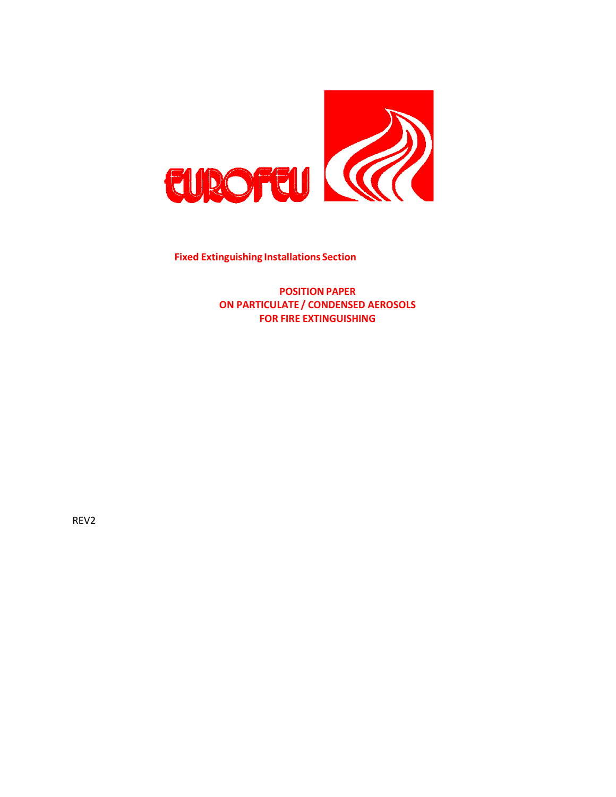

**Fixed Extinguishing Installations Section**

**POSITION PAPER ON PARTICULATE / CONDENSED AEROSOLS FOR FIRE EXTINGUISHING**

REV2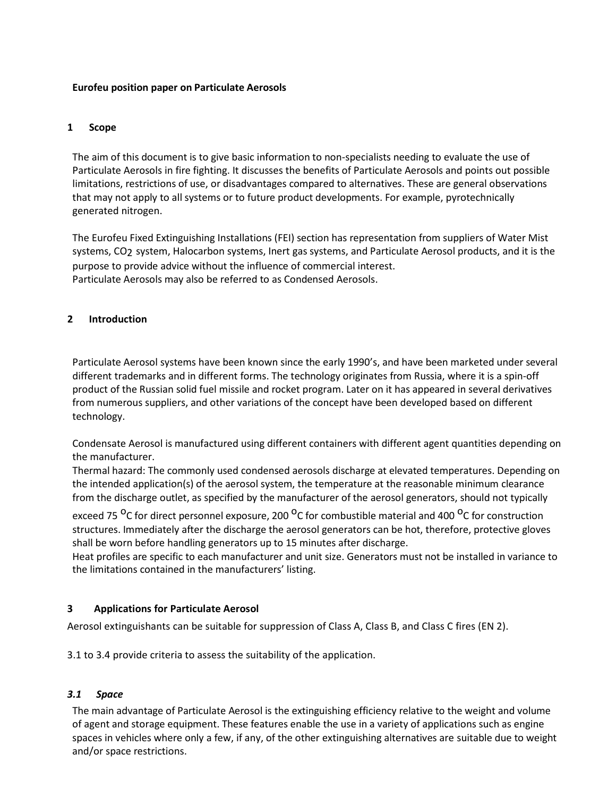### **Eurofeu position paper on Particulate Aerosols**

## **1 Scope**

The aim of this document is to give basic information to non-specialists needing to evaluate the use of Particulate Aerosols in fire fighting. It discusses the benefits of Particulate Aerosols and points out possible limitations, restrictions of use, or disadvantages compared to alternatives. These are general observations that may not apply to all systems or to future product developments. For example, pyrotechnically generated nitrogen.

The Eurofeu Fixed Extinguishing Installations (FEI) section has representation from suppliers of Water Mist systems, CO2 system, Halocarbon systems, Inert gas systems, and Particulate Aerosol products, and it is the purpose to provide advice without the influence of commercial interest. Particulate Aerosols may also be referred to as Condensed Aerosols.

### **2 Introduction**

Particulate Aerosol systems have been known since the early 1990's, and have been marketed under several different trademarks and in different forms. The technology originates from Russia, where it is a spin-off product of the Russian solid fuel missile and rocket program. Later on it has appeared in several derivatives from numerous suppliers, and other variations of the concept have been developed based on different technology.

Condensate Aerosol is manufactured using different containers with different agent quantities depending on the manufacturer.

Thermal hazard: The commonly used condensed aerosols discharge at elevated temperatures. Depending on the intended application(s) of the aerosol system, the temperature at the reasonable minimum clearance from the discharge outlet, as specified by the manufacturer of the aerosol generators, should not typically

exceed 75 <sup>o</sup>C for direct personnel exposure, 200 <sup>o</sup>C for combustible material and 400 <sup>o</sup>C for construction structures. Immediately after the discharge the aerosol generators can be hot, therefore, protective gloves shall be worn before handling generators up to 15 minutes after discharge.

Heat profiles are specific to each manufacturer and unit size. Generators must not be installed in variance to the limitations contained in the manufacturers' listing.

### **3 Applications for Particulate Aerosol**

Aerosol extinguishants can be suitable for suppression of Class A, Class B, and Class C fires (EN 2).

3.1 to 3.4 provide criteria to assess the suitability of the application.

### *3.1 Space*

The main advantage of Particulate Aerosol is the extinguishing efficiency relative to the weight and volume of agent and storage equipment. These features enable the use in a variety of applications such as engine spaces in vehicles where only a few, if any, of the other extinguishing alternatives are suitable due to weight and/or space restrictions.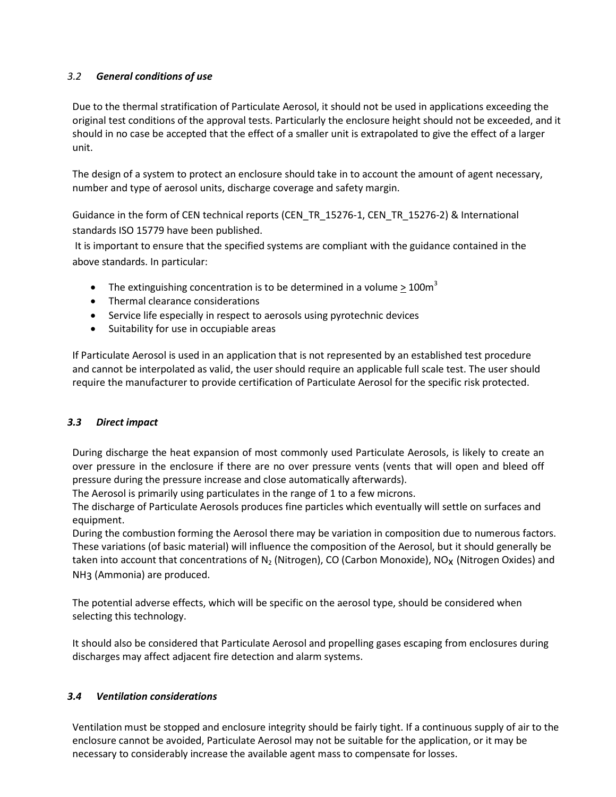# *3.2 General conditions of use*

Due to the thermal stratification of Particulate Aerosol, it should not be used in applications exceeding the original test conditions of the approval tests. Particularly the enclosure height should not be exceeded, and it should in no case be accepted that the effect of a smaller unit is extrapolated to give the effect of a larger unit.

The design of a system to protect an enclosure should take in to account the amount of agent necessary, number and type of aerosol units, discharge coverage and safety margin.

Guidance in the form of CEN technical reports (CEN\_TR\_15276-1, CEN\_TR\_15276-2) & International standards ISO 15779 have been published.

It is important to ensure that the specified systems are compliant with the guidance contained in the above standards. In particular:

- The extinguishing concentration is to be determined in a volume > 100 $m<sup>3</sup>$
- Thermal clearance considerations
- Service life especially in respect to aerosols using pyrotechnic devices
- Suitability for use in occupiable areas

If Particulate Aerosol is used in an application that is not represented by an established test procedure and cannot be interpolated as valid, the user should require an applicable full scale test. The user should require the manufacturer to provide certification of Particulate Aerosol for the specific risk protected.

### *3.3 Direct impact*

During discharge the heat expansion of most commonly used Particulate Aerosols, is likely to create an over pressure in the enclosure if there are no over pressure vents (vents that will open and bleed off pressure during the pressure increase and close automatically afterwards).

The Aerosol is primarily using particulates in the range of 1 to a few microns.

The discharge of Particulate Aerosols produces fine particles which eventually will settle on surfaces and equipment.

During the combustion forming the Aerosol there may be variation in composition due to numerous factors. These variations (of basic material) will influence the composition of the Aerosol, but it should generally be taken into account that concentrations of  $N_2$  (Nitrogen), CO (Carbon Monoxide), NO<sub>X</sub> (Nitrogen Oxides) and NH3 (Ammonia) are produced.

The potential adverse effects, which will be specific on the aerosol type, should be considered when selecting this technology.

It should also be considered that Particulate Aerosol and propelling gases escaping from enclosures during discharges may affect adjacent fire detection and alarm systems.

## *3.4 Ventilation considerations*

Ventilation must be stopped and enclosure integrity should be fairly tight. If a continuous supply of air to the enclosure cannot be avoided, Particulate Aerosol may not be suitable for the application, or it may be necessary to considerably increase the available agent mass to compensate for losses.